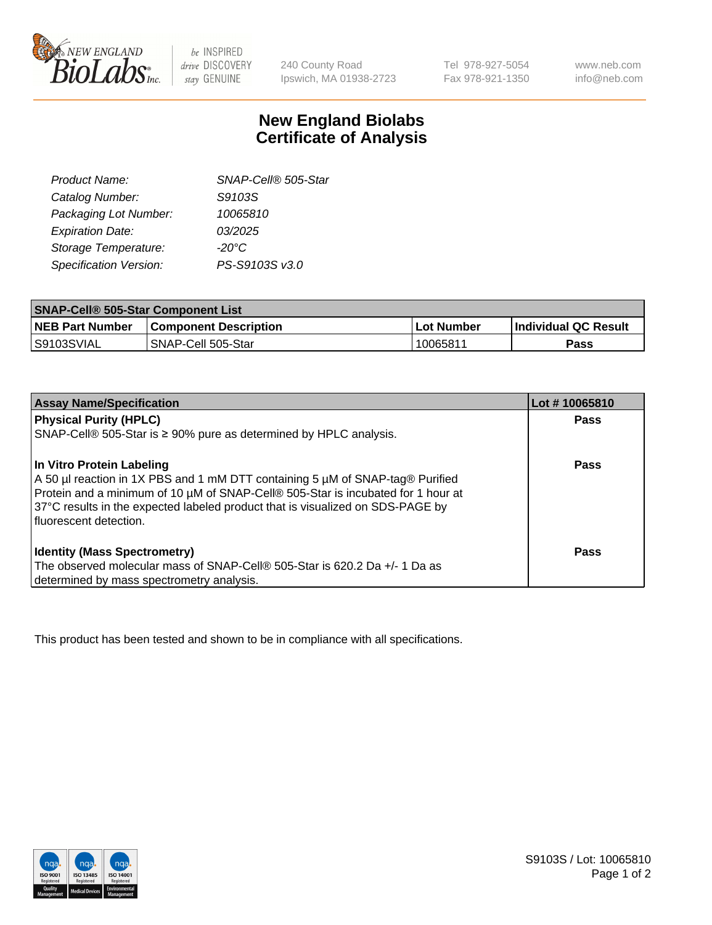

 $be$  INSPIRED drive DISCOVERY stay GENUINE

240 County Road Ipswich, MA 01938-2723 Tel 978-927-5054 Fax 978-921-1350

www.neb.com info@neb.com

## **New England Biolabs Certificate of Analysis**

| SNAP-Cell® 505-Star |
|---------------------|
| S9103S              |
| 10065810            |
| 03/2025             |
| $-20^{\circ}$ C     |
| PS-S9103S v3.0      |
|                     |

| <b>SNAP-Cell® 505-Star Component List</b> |                              |             |                             |  |
|-------------------------------------------|------------------------------|-------------|-----------------------------|--|
| <b>NEB Part Number</b>                    | <b>Component Description</b> | ⊥Lot Number | <b>Individual QC Result</b> |  |
| S9103SVIAL                                | SNAP-Cell 505-Star           | 10065811    | <b>Pass</b>                 |  |

| <b>Assay Name/Specification</b>                                                                                                                                                                                                                                                                              | Lot #10065810 |
|--------------------------------------------------------------------------------------------------------------------------------------------------------------------------------------------------------------------------------------------------------------------------------------------------------------|---------------|
| <b>Physical Purity (HPLC)</b>                                                                                                                                                                                                                                                                                | <b>Pass</b>   |
| $SNAP\text{-}Cell@$ 505-Star is $\geq$ 90% pure as determined by HPLC analysis.                                                                                                                                                                                                                              |               |
| In Vitro Protein Labeling<br>A 50 µl reaction in 1X PBS and 1 mM DTT containing 5 µM of SNAP-tag® Purified<br>Protein and a minimum of 10 µM of SNAP-Cell® 505-Star is incubated for 1 hour at<br>37°C results in the expected labeled product that is visualized on SDS-PAGE by<br>l fluorescent detection. | <b>Pass</b>   |
| <b>Identity (Mass Spectrometry)</b>                                                                                                                                                                                                                                                                          | Pass          |
| The observed molecular mass of SNAP-Cell® 505-Star is 620.2 Da +/- 1 Da as                                                                                                                                                                                                                                   |               |
| determined by mass spectrometry analysis.                                                                                                                                                                                                                                                                    |               |

This product has been tested and shown to be in compliance with all specifications.